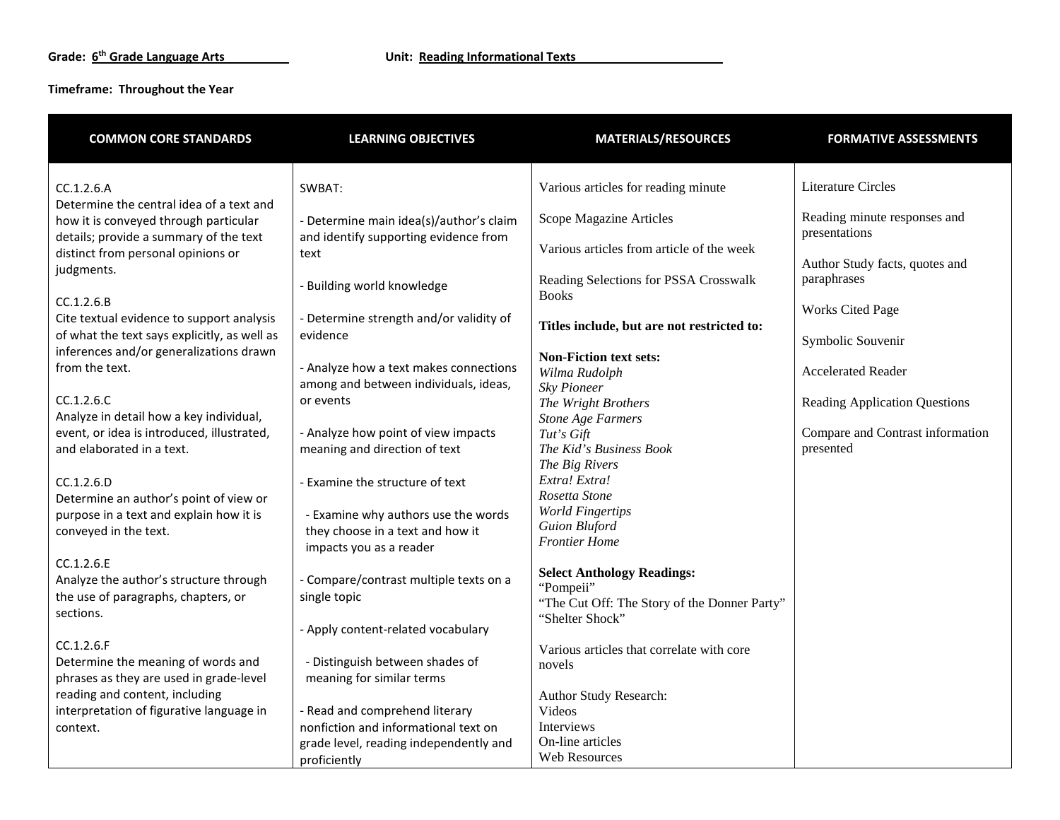| <b>COMMON CORE STANDARDS</b>                                                                                                         | <b>LEARNING OBJECTIVES</b>                                                       | <b>MATERIALS/RESOURCES</b>                                                   | <b>FORMATIVE ASSESSMENTS</b>                  |
|--------------------------------------------------------------------------------------------------------------------------------------|----------------------------------------------------------------------------------|------------------------------------------------------------------------------|-----------------------------------------------|
| CC.1.2.6.A<br>Determine the central idea of a text and                                                                               | SWBAT:                                                                           | Various articles for reading minute                                          | <b>Literature Circles</b>                     |
| how it is conveyed through particular<br>details; provide a summary of the text                                                      | - Determine main idea(s)/author's claim<br>and identify supporting evidence from | Scope Magazine Articles                                                      | Reading minute responses and<br>presentations |
| distinct from personal opinions or<br>judgments.                                                                                     | text                                                                             | Various articles from article of the week                                    | Author Study facts, quotes and                |
| CC.1.2.6.B                                                                                                                           | - Building world knowledge                                                       | Reading Selections for PSSA Crosswalk<br><b>Books</b>                        | paraphrases<br><b>Works Cited Page</b>        |
| Cite textual evidence to support analysis<br>of what the text says explicitly, as well as<br>inferences and/or generalizations drawn | - Determine strength and/or validity of<br>evidence                              | Titles include, but are not restricted to:                                   | Symbolic Souvenir                             |
| from the text.                                                                                                                       | - Analyze how a text makes connections<br>among and between individuals, ideas,  | <b>Non-Fiction text sets:</b><br>Wilma Rudolph<br>Sky Pioneer                | <b>Accelerated Reader</b>                     |
| CC.1.2.6.C<br>Analyze in detail how a key individual,                                                                                | or events                                                                        | The Wright Brothers<br><b>Stone Age Farmers</b>                              | <b>Reading Application Questions</b>          |
| event, or idea is introduced, illustrated,<br>and elaborated in a text.                                                              | - Analyze how point of view impacts<br>meaning and direction of text             | Tut's Gift<br>The Kid's Business Book<br>The Big Rivers                      | Compare and Contrast information<br>presented |
| CC.1.2.6.D<br>Determine an author's point of view or                                                                                 | - Examine the structure of text                                                  | Extra! Extra!<br>Rosetta Stone                                               |                                               |
| purpose in a text and explain how it is<br>conveyed in the text.                                                                     | - Examine why authors use the words<br>they choose in a text and how it          | <b>World Fingertips</b><br><b>Guion Bluford</b><br><b>Frontier Home</b>      |                                               |
| CC.1.2.6.E<br>Analyze the author's structure through                                                                                 | impacts you as a reader<br>- Compare/contrast multiple texts on a                | <b>Select Anthology Readings:</b>                                            |                                               |
| the use of paragraphs, chapters, or<br>sections.                                                                                     | single topic                                                                     | "Pompeii"<br>"The Cut Off: The Story of the Donner Party"<br>"Shelter Shock" |                                               |
| CC.1.2.6.F                                                                                                                           | - Apply content-related vocabulary                                               | Various articles that correlate with core                                    |                                               |
| Determine the meaning of words and<br>phrases as they are used in grade-level<br>reading and content, including                      | - Distinguish between shades of<br>meaning for similar terms                     | novels                                                                       |                                               |
| interpretation of figurative language in<br>context.                                                                                 | - Read and comprehend literary<br>nonfiction and informational text on           | Author Study Research:<br>Videos<br>Interviews                               |                                               |
|                                                                                                                                      | grade level, reading independently and<br>proficiently                           | On-line articles<br><b>Web Resources</b>                                     |                                               |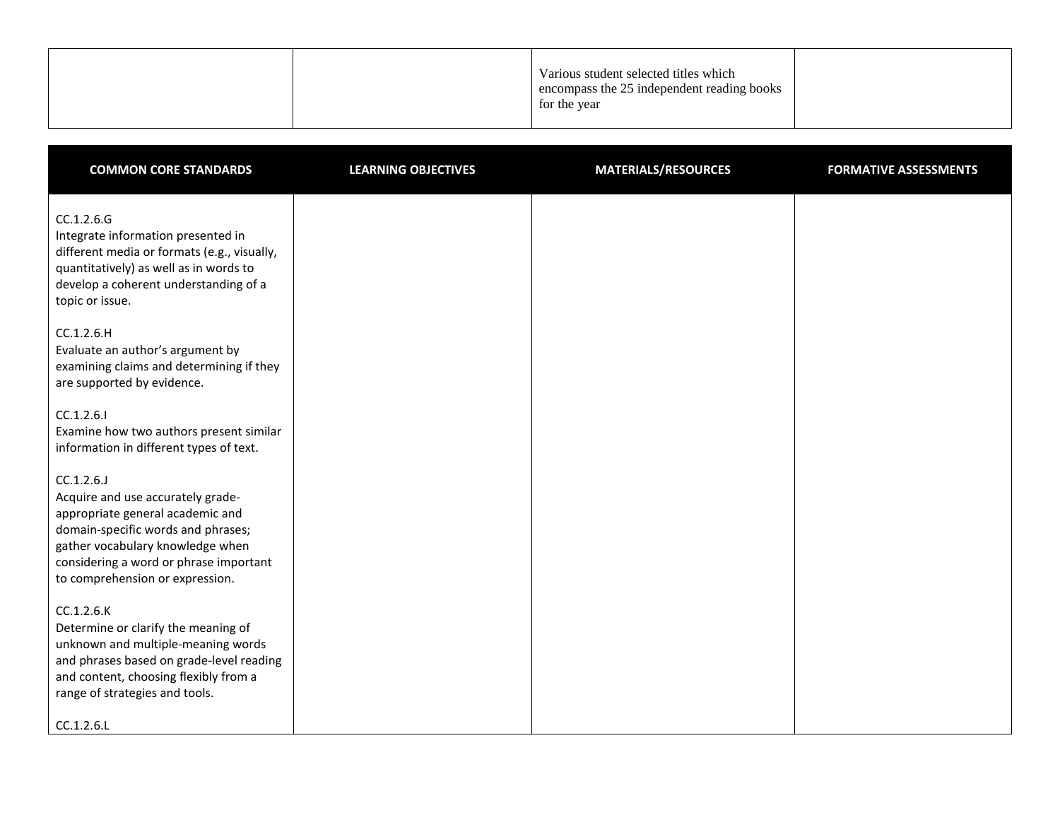|--|

| <b>COMMON CORE STANDARDS</b>                                                                                                                                                                                                               | <b>LEARNING OBJECTIVES</b> | <b>MATERIALS/RESOURCES</b> | <b>FORMATIVE ASSESSMENTS</b> |
|--------------------------------------------------------------------------------------------------------------------------------------------------------------------------------------------------------------------------------------------|----------------------------|----------------------------|------------------------------|
| CC.1.2.6.G<br>Integrate information presented in<br>different media or formats (e.g., visually,<br>quantitatively) as well as in words to<br>develop a coherent understanding of a<br>topic or issue.                                      |                            |                            |                              |
| CC.1.2.6.H<br>Evaluate an author's argument by<br>examining claims and determining if they<br>are supported by evidence.                                                                                                                   |                            |                            |                              |
| CC.1.2.6.1<br>Examine how two authors present similar<br>information in different types of text.                                                                                                                                           |                            |                            |                              |
| CC.1.2.6.J<br>Acquire and use accurately grade-<br>appropriate general academic and<br>domain-specific words and phrases;<br>gather vocabulary knowledge when<br>considering a word or phrase important<br>to comprehension or expression. |                            |                            |                              |
| CC.1.2.6.K<br>Determine or clarify the meaning of<br>unknown and multiple-meaning words<br>and phrases based on grade-level reading<br>and content, choosing flexibly from a<br>range of strategies and tools.                             |                            |                            |                              |
| CC.1.2.6.L                                                                                                                                                                                                                                 |                            |                            |                              |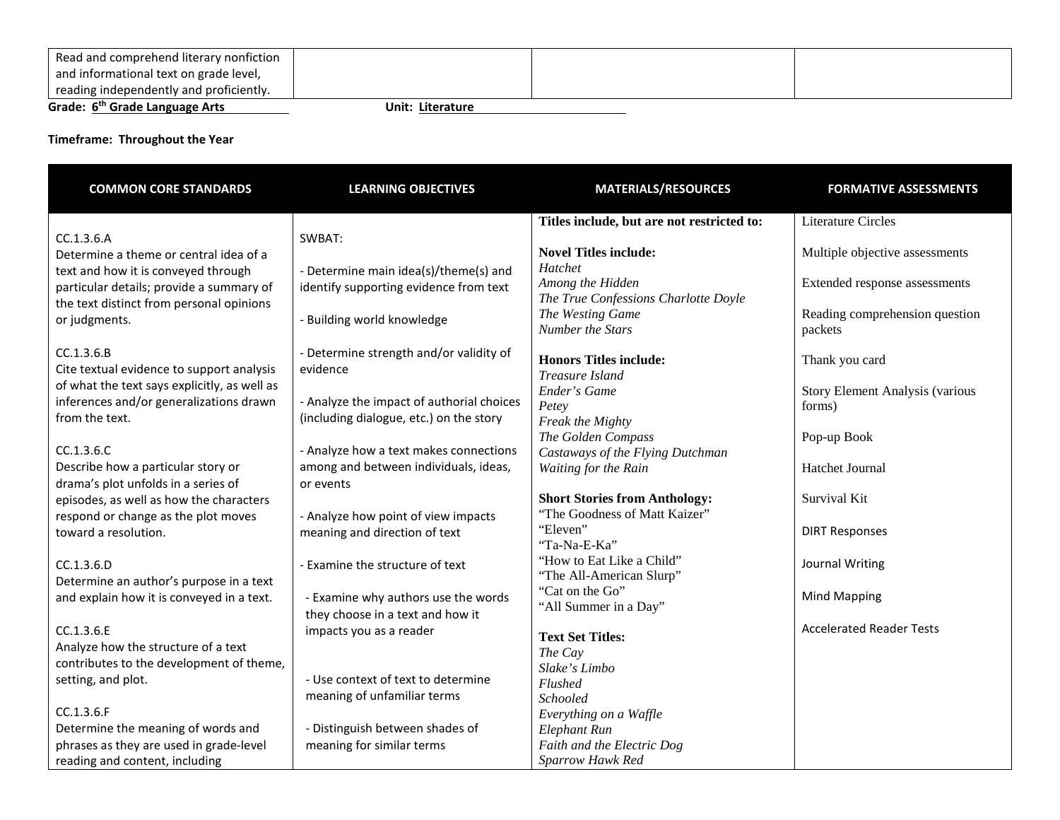| Read and comprehend literary nonfiction    |                  |  |
|--------------------------------------------|------------------|--|
| and informational text on grade level,     |                  |  |
| reading independently and proficiently.    |                  |  |
| Grade: 6 <sup>th</sup> Grade Language Arts | Unit: Literature |  |

| <b>COMMON CORE STANDARDS</b>                 | <b>LEARNING OBJECTIVES</b>                | <b>MATERIALS/RESOURCES</b>                 | <b>FORMATIVE ASSESSMENTS</b>           |
|----------------------------------------------|-------------------------------------------|--------------------------------------------|----------------------------------------|
|                                              |                                           | Titles include, but are not restricted to: | <b>Literature Circles</b>              |
| CC.1.3.6.A                                   | SWBAT:                                    |                                            |                                        |
| Determine a theme or central idea of a       |                                           | <b>Novel Titles include:</b>               | Multiple objective assessments         |
| text and how it is conveyed through          | - Determine main idea(s)/theme(s) and     | Hatchet                                    |                                        |
| particular details; provide a summary of     | identify supporting evidence from text    | Among the Hidden                           | Extended response assessments          |
| the text distinct from personal opinions     |                                           | The True Confessions Charlotte Doyle       |                                        |
| or judgments.                                | <b>Building world knowledge</b>           | The Westing Game<br>Number the Stars       | Reading comprehension question         |
|                                              |                                           |                                            | packets                                |
| CC.1.3.6.B                                   | - Determine strength and/or validity of   | <b>Honors Titles include:</b>              | Thank you card                         |
| Cite textual evidence to support analysis    | evidence                                  | Treasure Island                            |                                        |
| of what the text says explicitly, as well as |                                           | Ender's Game                               | <b>Story Element Analysis (various</b> |
| inferences and/or generalizations drawn      | - Analyze the impact of authorial choices | Petey                                      | forms)                                 |
| from the text.                               | (including dialogue, etc.) on the story   | Freak the Mighty                           |                                        |
|                                              |                                           | The Golden Compass                         | Pop-up Book                            |
| CC.1.3.6.C                                   | - Analyze how a text makes connections    | Castaways of the Flying Dutchman           |                                        |
| Describe how a particular story or           | among and between individuals, ideas,     | Waiting for the Rain                       | Hatchet Journal                        |
| drama's plot unfolds in a series of          | or events                                 |                                            |                                        |
| episodes, as well as how the characters      |                                           | <b>Short Stories from Anthology:</b>       | Survival Kit                           |
| respond or change as the plot moves          | - Analyze how point of view impacts       | "The Goodness of Matt Kaizer"              |                                        |
| toward a resolution.                         | meaning and direction of text             | "Eleven"                                   | <b>DIRT Responses</b>                  |
|                                              |                                           | "Ta-Na-E-Ka"<br>"How to Eat Like a Child"  |                                        |
| CC.1.3.6.D                                   | - Examine the structure of text           | "The All-American Slurp"                   | Journal Writing                        |
| Determine an author's purpose in a text      |                                           | "Cat on the Go"                            |                                        |
| and explain how it is conveyed in a text.    | - Examine why authors use the words       | "All Summer in a Day"                      | <b>Mind Mapping</b>                    |
|                                              | they choose in a text and how it          |                                            |                                        |
| CC.1.3.6.E                                   | impacts you as a reader                   | <b>Text Set Titles:</b>                    | <b>Accelerated Reader Tests</b>        |
| Analyze how the structure of a text          |                                           | The Cay                                    |                                        |
| contributes to the development of theme,     |                                           | Slake's Limbo                              |                                        |
| setting, and plot.                           | - Use context of text to determine        | Flushed                                    |                                        |
|                                              | meaning of unfamiliar terms               | Schooled                                   |                                        |
| CC.1.3.6.F                                   |                                           | Everything on a Waffle                     |                                        |
| Determine the meaning of words and           | - Distinguish between shades of           | Elephant Run                               |                                        |
| phrases as they are used in grade-level      | meaning for similar terms                 | Faith and the Electric Dog                 |                                        |
| reading and content, including               |                                           | Sparrow Hawk Red                           |                                        |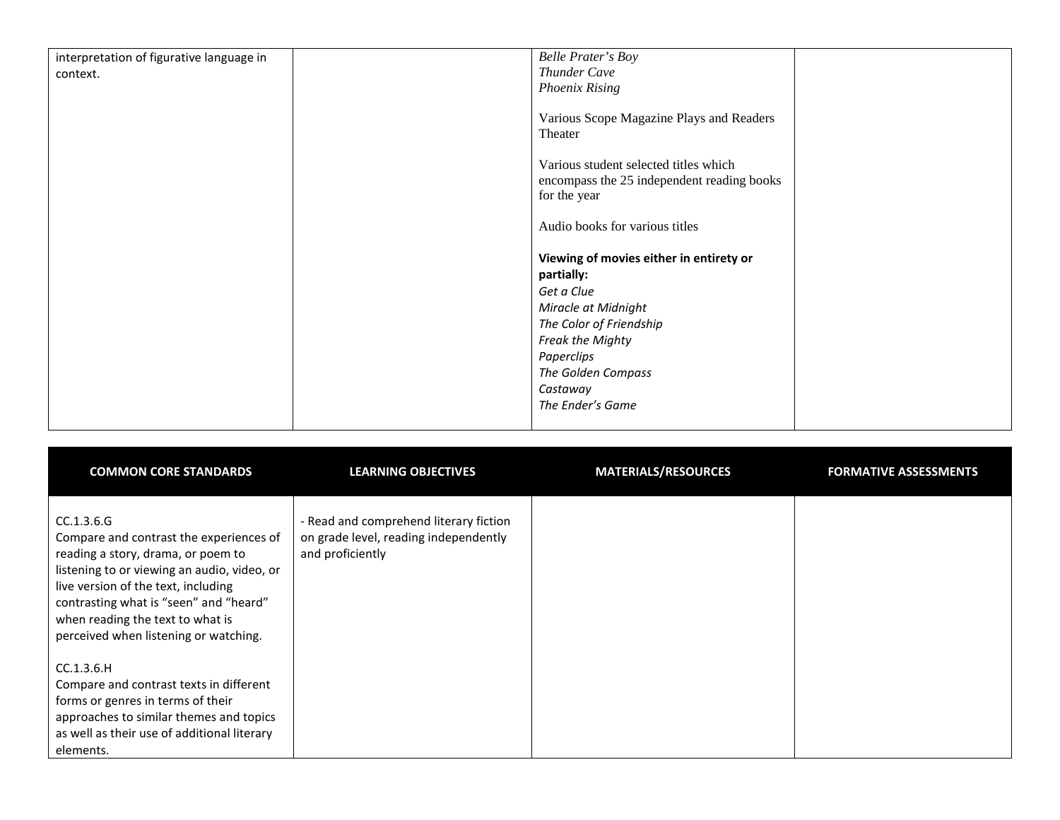| interpretation of figurative language in | <b>Belle Prater's Boy</b>                  |
|------------------------------------------|--------------------------------------------|
| context.                                 | Thunder Cave                               |
|                                          | <b>Phoenix Rising</b>                      |
|                                          |                                            |
|                                          | Various Scope Magazine Plays and Readers   |
|                                          | Theater                                    |
|                                          |                                            |
|                                          | Various student selected titles which      |
|                                          | encompass the 25 independent reading books |
|                                          | for the year                               |
|                                          |                                            |
|                                          | Audio books for various titles             |
|                                          |                                            |
|                                          | Viewing of movies either in entirety or    |
|                                          | partially:                                 |
|                                          | Get a Clue                                 |
|                                          | Miracle at Midnight                        |
|                                          | The Color of Friendship                    |
|                                          | Freak the Mighty                           |
|                                          | Paperclips                                 |
|                                          | The Golden Compass                         |
|                                          | Castaway                                   |
|                                          | The Ender's Game                           |
|                                          |                                            |

| <b>COMMON CORE STANDARDS</b>                                                                                                                                                                                                                                                                             | <b>LEARNING OBJECTIVES</b>                                                                          | <b>MATERIALS/RESOURCES</b> | <b>FORMATIVE ASSESSMENTS</b> |
|----------------------------------------------------------------------------------------------------------------------------------------------------------------------------------------------------------------------------------------------------------------------------------------------------------|-----------------------------------------------------------------------------------------------------|----------------------------|------------------------------|
| CC.1.3.6.G<br>Compare and contrast the experiences of<br>reading a story, drama, or poem to<br>listening to or viewing an audio, video, or<br>live version of the text, including<br>contrasting what is "seen" and "heard"<br>when reading the text to what is<br>perceived when listening or watching. | - Read and comprehend literary fiction<br>on grade level, reading independently<br>and proficiently |                            |                              |
| CC.1.3.6.H<br>Compare and contrast texts in different<br>forms or genres in terms of their<br>approaches to similar themes and topics<br>as well as their use of additional literary<br>elements.                                                                                                        |                                                                                                     |                            |                              |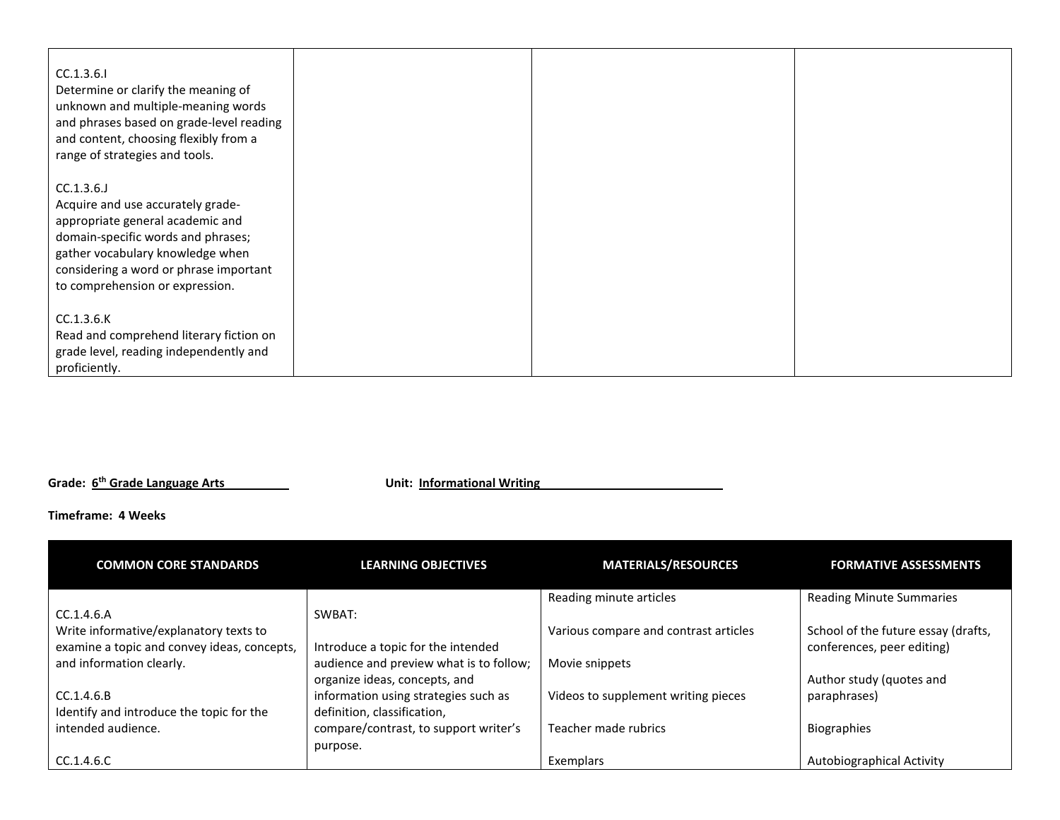| CC.1.3.6.1<br>Determine or clarify the meaning of<br>unknown and multiple-meaning words<br>and phrases based on grade-level reading<br>and content, choosing flexibly from a<br>range of strategies and tools.                            |  |  |
|-------------------------------------------------------------------------------------------------------------------------------------------------------------------------------------------------------------------------------------------|--|--|
| CC.1.3.6.<br>Acquire and use accurately grade-<br>appropriate general academic and<br>domain-specific words and phrases;<br>gather vocabulary knowledge when<br>considering a word or phrase important<br>to comprehension or expression. |  |  |
| CC.1.3.6.K<br>Read and comprehend literary fiction on<br>grade level, reading independently and<br>proficiently.                                                                                                                          |  |  |

**Grade: 6th Grade Language Arts Unit: Informational Writing**

## **Timeframe: 4 Weeks**

| <b>COMMON CORE STANDARDS</b>                | <b>LEARNING OBJECTIVES</b>              | <b>MATERIALS/RESOURCES</b>            | <b>FORMATIVE ASSESSMENTS</b>        |
|---------------------------------------------|-----------------------------------------|---------------------------------------|-------------------------------------|
|                                             |                                         | Reading minute articles               | <b>Reading Minute Summaries</b>     |
| CC.1.4.6.A                                  | SWBAT:                                  |                                       |                                     |
| Write informative/explanatory texts to      |                                         | Various compare and contrast articles | School of the future essay (drafts, |
| examine a topic and convey ideas, concepts, | Introduce a topic for the intended      |                                       | conferences, peer editing)          |
| and information clearly.                    | audience and preview what is to follow; | Movie snippets                        |                                     |
|                                             | organize ideas, concepts, and           |                                       | Author study (quotes and            |
| CC.1.4.6.B                                  | information using strategies such as    | Videos to supplement writing pieces   | paraphrases)                        |
| Identify and introduce the topic for the    | definition, classification,             |                                       |                                     |
| intended audience.                          | compare/contrast, to support writer's   | Teacher made rubrics                  | <b>Biographies</b>                  |
|                                             | purpose.                                |                                       |                                     |
| CC.1.4.6.C                                  |                                         | Exemplars                             | Autobiographical Activity           |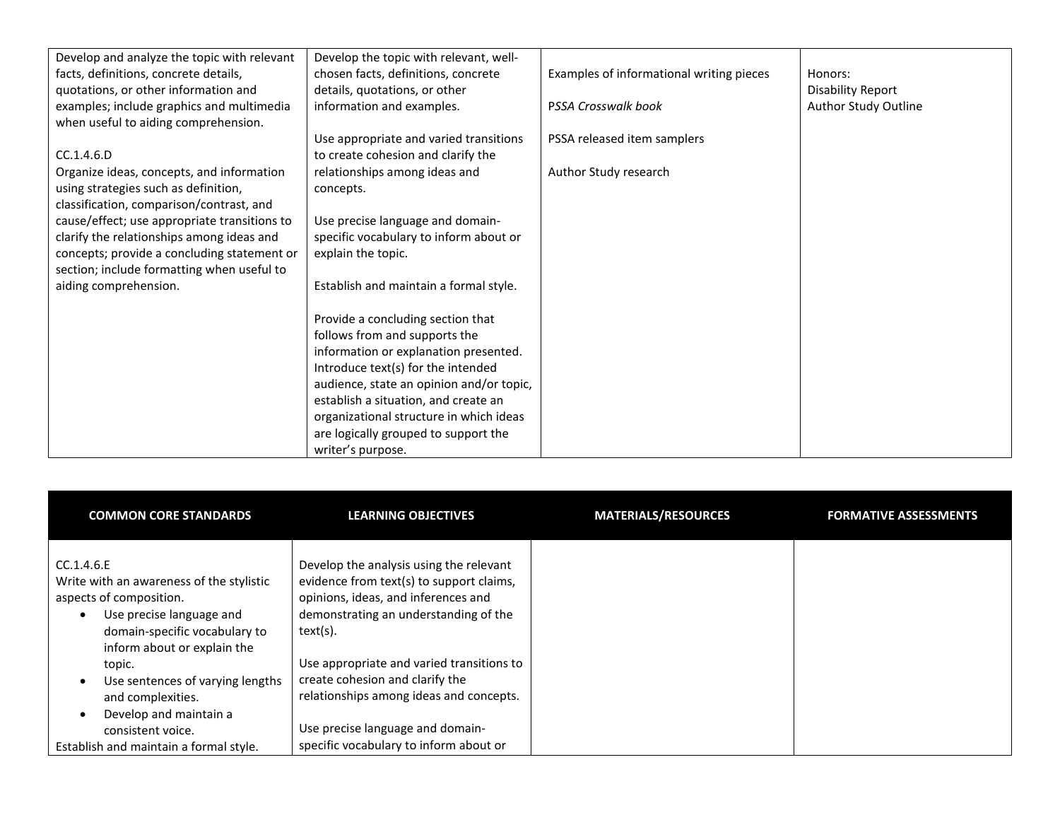| Develop and analyze the topic with relevant  | Develop the topic with relevant, well-   |                                          |                          |
|----------------------------------------------|------------------------------------------|------------------------------------------|--------------------------|
| facts, definitions, concrete details,        | chosen facts, definitions, concrete      | Examples of informational writing pieces | Honors:                  |
| quotations, or other information and         | details, quotations, or other            |                                          | <b>Disability Report</b> |
| examples; include graphics and multimedia    | information and examples.                | PSSA Crosswalk book                      | Author Study Outline     |
| when useful to aiding comprehension.         |                                          |                                          |                          |
|                                              | Use appropriate and varied transitions   | PSSA released item samplers              |                          |
| CC.1.4.6.D                                   | to create cohesion and clarify the       |                                          |                          |
| Organize ideas, concepts, and information    | relationships among ideas and            | Author Study research                    |                          |
| using strategies such as definition,         | concepts.                                |                                          |                          |
| classification, comparison/contrast, and     |                                          |                                          |                          |
| cause/effect; use appropriate transitions to | Use precise language and domain-         |                                          |                          |
| clarify the relationships among ideas and    | specific vocabulary to inform about or   |                                          |                          |
| concepts; provide a concluding statement or  | explain the topic.                       |                                          |                          |
| section; include formatting when useful to   |                                          |                                          |                          |
| aiding comprehension.                        | Establish and maintain a formal style.   |                                          |                          |
|                                              |                                          |                                          |                          |
|                                              | Provide a concluding section that        |                                          |                          |
|                                              | follows from and supports the            |                                          |                          |
|                                              | information or explanation presented.    |                                          |                          |
|                                              | Introduce text(s) for the intended       |                                          |                          |
|                                              | audience, state an opinion and/or topic, |                                          |                          |
|                                              | establish a situation, and create an     |                                          |                          |
|                                              | organizational structure in which ideas  |                                          |                          |
|                                              | are logically grouped to support the     |                                          |                          |
|                                              | writer's purpose.                        |                                          |                          |

| <b>COMMON CORE STANDARDS</b>                                                                                                                                                  | <b>LEARNING OBJECTIVES</b>                                                                                                                                                      | <b>MATERIALS/RESOURCES</b> | <b>FORMATIVE ASSESSMENTS</b> |
|-------------------------------------------------------------------------------------------------------------------------------------------------------------------------------|---------------------------------------------------------------------------------------------------------------------------------------------------------------------------------|----------------------------|------------------------------|
| CC.1.4.6.E<br>Write with an awareness of the stylistic<br>aspects of composition.<br>Use precise language and<br>domain-specific vocabulary to<br>inform about or explain the | Develop the analysis using the relevant<br>evidence from text(s) to support claims,<br>opinions, ideas, and inferences and<br>demonstrating an understanding of the<br>text(s). |                            |                              |
| topic.                                                                                                                                                                        | Use appropriate and varied transitions to                                                                                                                                       |                            |                              |
| Use sentences of varying lengths<br>$\bullet$<br>and complexities.<br>Develop and maintain a<br>$\bullet$                                                                     | create cohesion and clarify the<br>relationships among ideas and concepts.                                                                                                      |                            |                              |
| consistent voice.<br>Establish and maintain a formal style.                                                                                                                   | Use precise language and domain-<br>specific vocabulary to inform about or                                                                                                      |                            |                              |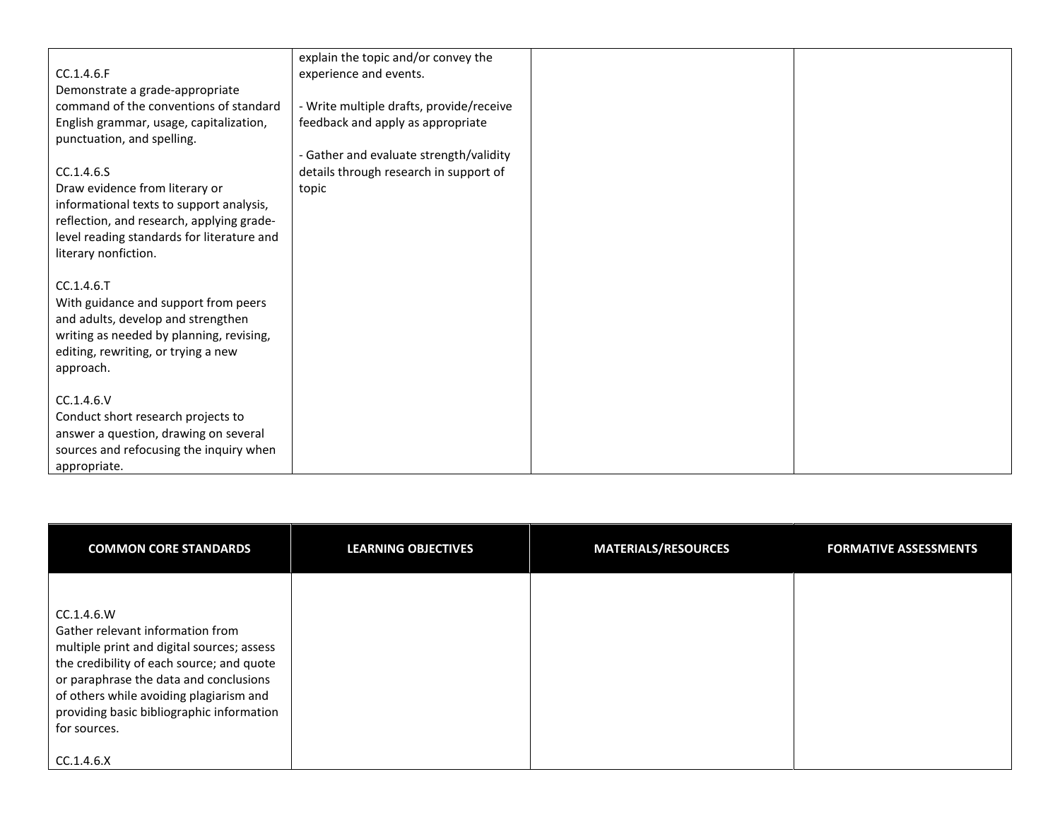|                                            | explain the topic and/or convey the      |  |
|--------------------------------------------|------------------------------------------|--|
| CC.1.4.6.F                                 | experience and events.                   |  |
| Demonstrate a grade-appropriate            |                                          |  |
|                                            |                                          |  |
| command of the conventions of standard     | - Write multiple drafts, provide/receive |  |
| English grammar, usage, capitalization,    | feedback and apply as appropriate        |  |
| punctuation, and spelling.                 |                                          |  |
|                                            | - Gather and evaluate strength/validity  |  |
| CC.1.4.6.S                                 | details through research in support of   |  |
| Draw evidence from literary or             | topic                                    |  |
| informational texts to support analysis,   |                                          |  |
| reflection, and research, applying grade-  |                                          |  |
| level reading standards for literature and |                                          |  |
| literary nonfiction.                       |                                          |  |
|                                            |                                          |  |
| CC.1.4.6.T                                 |                                          |  |
| With guidance and support from peers       |                                          |  |
| and adults, develop and strengthen         |                                          |  |
|                                            |                                          |  |
| writing as needed by planning, revising,   |                                          |  |
| editing, rewriting, or trying a new        |                                          |  |
| approach.                                  |                                          |  |
|                                            |                                          |  |
| CC.1.4.6.V                                 |                                          |  |
| Conduct short research projects to         |                                          |  |
| answer a question, drawing on several      |                                          |  |
| sources and refocusing the inquiry when    |                                          |  |
| appropriate.                               |                                          |  |

| <b>COMMON CORE STANDARDS</b>                                                                                                                                                                                                                                                                | <b>LEARNING OBJECTIVES</b> | <b>MATERIALS/RESOURCES</b> | <b>FORMATIVE ASSESSMENTS</b> |
|---------------------------------------------------------------------------------------------------------------------------------------------------------------------------------------------------------------------------------------------------------------------------------------------|----------------------------|----------------------------|------------------------------|
| CC.1.4.6.W<br>Gather relevant information from<br>multiple print and digital sources; assess<br>the credibility of each source; and quote<br>or paraphrase the data and conclusions<br>of others while avoiding plagiarism and<br>providing basic bibliographic information<br>for sources. |                            |                            |                              |
| CC.1.4.6.X                                                                                                                                                                                                                                                                                  |                            |                            |                              |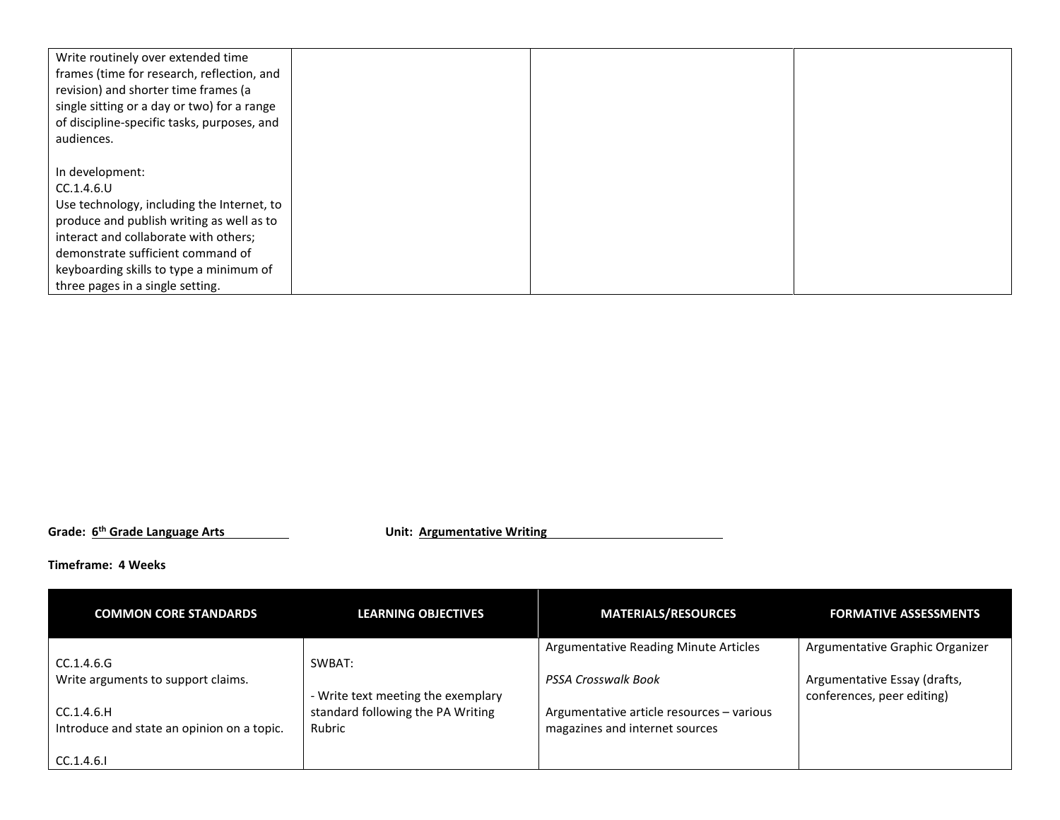| Write routinely over extended time<br>frames (time for research, reflection, and<br>revision) and shorter time frames (a<br>single sitting or a day or two) for a range<br>of discipline-specific tasks, purposes, and<br>audiences. |  |  |
|--------------------------------------------------------------------------------------------------------------------------------------------------------------------------------------------------------------------------------------|--|--|
|                                                                                                                                                                                                                                      |  |  |
| In development:                                                                                                                                                                                                                      |  |  |
| CC.1.4.6.U                                                                                                                                                                                                                           |  |  |
| Use technology, including the Internet, to                                                                                                                                                                                           |  |  |
| produce and publish writing as well as to                                                                                                                                                                                            |  |  |
| interact and collaborate with others;                                                                                                                                                                                                |  |  |
| demonstrate sufficient command of                                                                                                                                                                                                    |  |  |
| keyboarding skills to type a minimum of                                                                                                                                                                                              |  |  |
| three pages in a single setting.                                                                                                                                                                                                     |  |  |

**Grade: 6th Grade Language Arts Unit: Argumentative Writing**

**Timeframe: 4 Weeks**

| <b>COMMON CORE STANDARDS</b>                             | <b>LEARNING OBJECTIVES</b>                  | <b>MATERIALS/RESOURCES</b>                                                  | <b>FORMATIVE ASSESSMENTS</b>                               |
|----------------------------------------------------------|---------------------------------------------|-----------------------------------------------------------------------------|------------------------------------------------------------|
| CC.1.4.6.G                                               | SWBAT:                                      | Argumentative Reading Minute Articles                                       | Argumentative Graphic Organizer                            |
| Write arguments to support claims.                       | - Write text meeting the exemplary          | <b>PSSA Crosswalk Book</b>                                                  | Argumentative Essay (drafts,<br>conferences, peer editing) |
| CC.1.4.6.H<br>Introduce and state an opinion on a topic. | standard following the PA Writing<br>Rubric | Argumentative article resources - various<br>magazines and internet sources |                                                            |
| CC.1.4.6.1                                               |                                             |                                                                             |                                                            |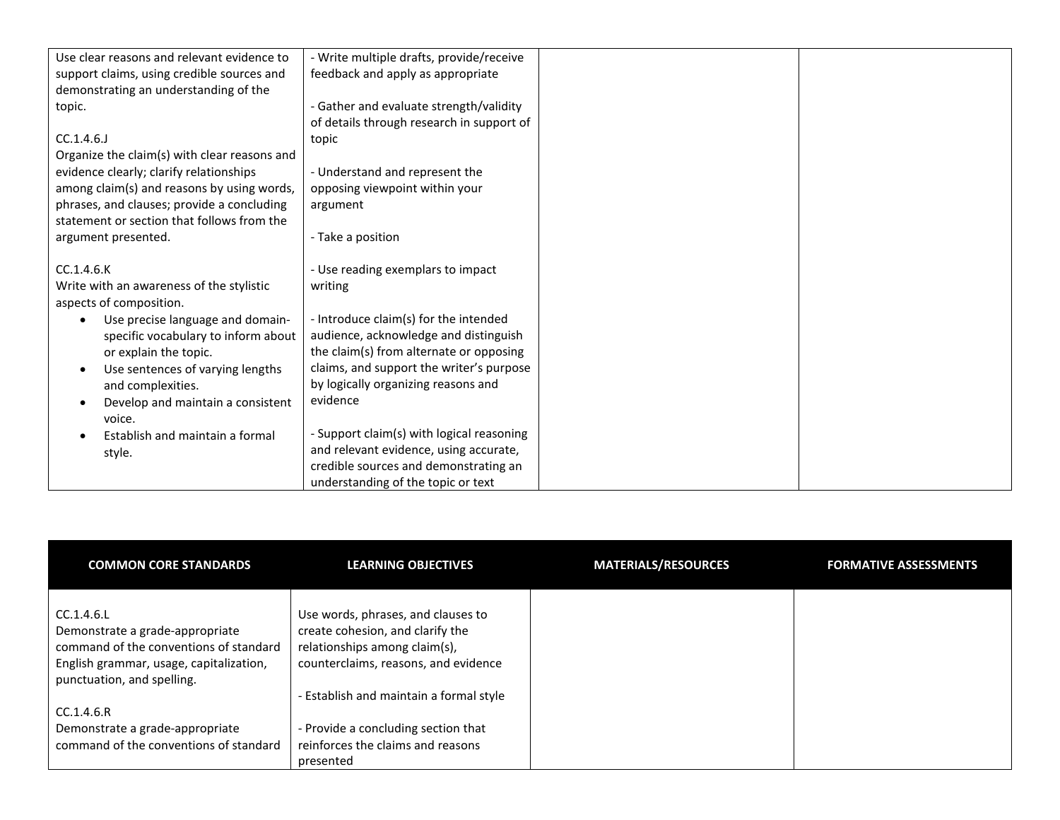| Use clear reasons and relevant evidence to   | - Write multiple drafts, provide/receive  |  |
|----------------------------------------------|-------------------------------------------|--|
| support claims, using credible sources and   | feedback and apply as appropriate         |  |
| demonstrating an understanding of the        |                                           |  |
| topic.                                       | - Gather and evaluate strength/validity   |  |
|                                              | of details through research in support of |  |
| CC.1.4.6.                                    | topic                                     |  |
| Organize the claim(s) with clear reasons and |                                           |  |
| evidence clearly; clarify relationships      | - Understand and represent the            |  |
| among claim(s) and reasons by using words,   | opposing viewpoint within your            |  |
| phrases, and clauses; provide a concluding   | argument                                  |  |
| statement or section that follows from the   |                                           |  |
| argument presented.                          | - Take a position                         |  |
|                                              |                                           |  |
| CC.1.4.6.K                                   | - Use reading exemplars to impact         |  |
| Write with an awareness of the stylistic     | writing                                   |  |
| aspects of composition.                      |                                           |  |
| Use precise language and domain-             | - Introduce claim(s) for the intended     |  |
| specific vocabulary to inform about          | audience, acknowledge and distinguish     |  |
| or explain the topic.                        | the claim(s) from alternate or opposing   |  |
| Use sentences of varying lengths             | claims, and support the writer's purpose  |  |
| and complexities.                            | by logically organizing reasons and       |  |
| Develop and maintain a consistent            | evidence                                  |  |
| voice.                                       |                                           |  |
| Establish and maintain a formal              | - Support claim(s) with logical reasoning |  |
| style.                                       | and relevant evidence, using accurate,    |  |
|                                              | credible sources and demonstrating an     |  |
|                                              | understanding of the topic or text        |  |

| <b>COMMON CORE STANDARDS</b>                                          | <b>LEARNING OBJECTIVES</b>              | <b>MATERIALS/RESOURCES</b> | <b>FORMATIVE ASSESSMENTS</b> |
|-----------------------------------------------------------------------|-----------------------------------------|----------------------------|------------------------------|
| CC.1.4.6.L                                                            | Use words, phrases, and clauses to      |                            |                              |
| Demonstrate a grade-appropriate                                       | create cohesion, and clarify the        |                            |                              |
| command of the conventions of standard                                | relationships among claim(s),           |                            |                              |
| English grammar, usage, capitalization,<br>punctuation, and spelling. | counterclaims, reasons, and evidence    |                            |                              |
|                                                                       | - Establish and maintain a formal style |                            |                              |
| CC.1.4.6.R                                                            |                                         |                            |                              |
| Demonstrate a grade-appropriate                                       | - Provide a concluding section that     |                            |                              |
| command of the conventions of standard                                | reinforces the claims and reasons       |                            |                              |
|                                                                       | presented                               |                            |                              |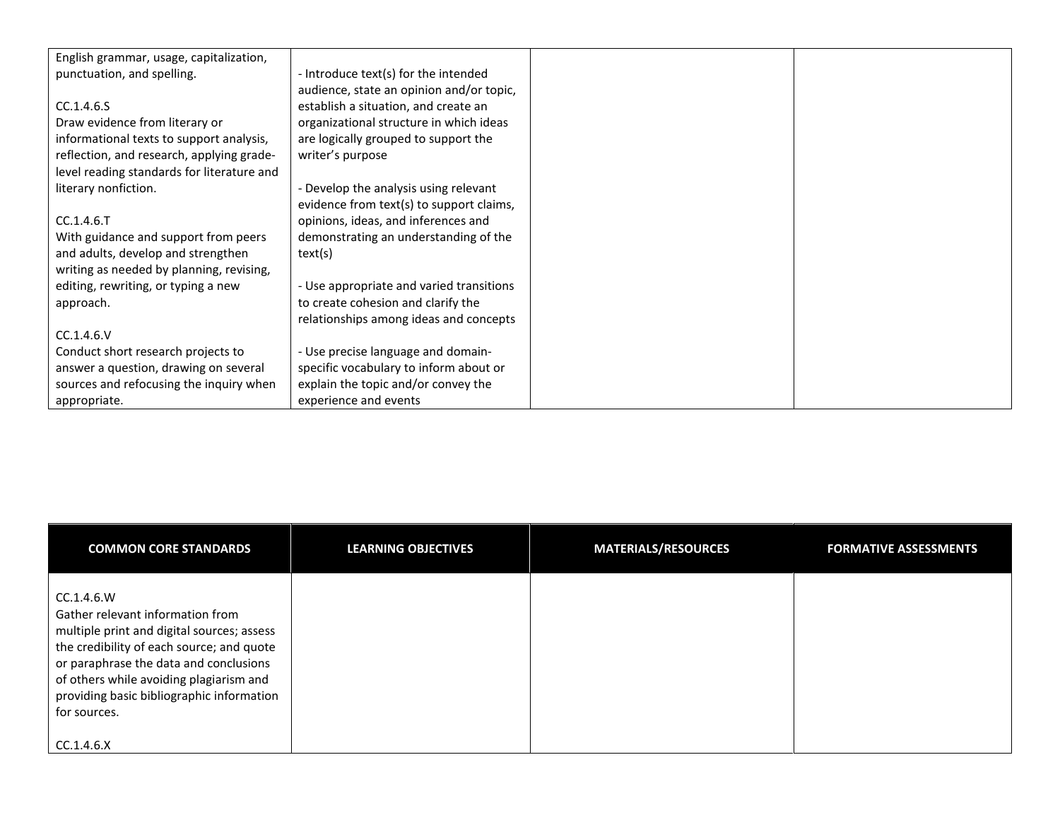| English grammar, usage, capitalization,    |                                          |  |
|--------------------------------------------|------------------------------------------|--|
| punctuation, and spelling.                 | - Introduce text(s) for the intended     |  |
|                                            | audience, state an opinion and/or topic, |  |
| CC.1.4.6.5                                 | establish a situation, and create an     |  |
| Draw evidence from literary or             | organizational structure in which ideas  |  |
| informational texts to support analysis,   | are logically grouped to support the     |  |
| reflection, and research, applying grade-  | writer's purpose                         |  |
| level reading standards for literature and |                                          |  |
| literary nonfiction.                       | - Develop the analysis using relevant    |  |
|                                            | evidence from text(s) to support claims, |  |
| $CC.1.4.6.$ T                              | opinions, ideas, and inferences and      |  |
| With guidance and support from peers       | demonstrating an understanding of the    |  |
| and adults, develop and strengthen         | text(s)                                  |  |
| writing as needed by planning, revising,   |                                          |  |
| editing, rewriting, or typing a new        | - Use appropriate and varied transitions |  |
| approach.                                  | to create cohesion and clarify the       |  |
|                                            | relationships among ideas and concepts   |  |
| CC.1.4.6.V                                 |                                          |  |
| Conduct short research projects to         | - Use precise language and domain-       |  |
| answer a question, drawing on several      | specific vocabulary to inform about or   |  |
| sources and refocusing the inquiry when    | explain the topic and/or convey the      |  |
| appropriate.                               | experience and events                    |  |

| <b>COMMON CORE STANDARDS</b>                                                                                                                                                                                                                                                                | <b>LEARNING OBJECTIVES</b> | <b>MATERIALS/RESOURCES</b> | <b>FORMATIVE ASSESSMENTS</b> |
|---------------------------------------------------------------------------------------------------------------------------------------------------------------------------------------------------------------------------------------------------------------------------------------------|----------------------------|----------------------------|------------------------------|
| CC.1.4.6.W<br>Gather relevant information from<br>multiple print and digital sources; assess<br>the credibility of each source; and quote<br>or paraphrase the data and conclusions<br>of others while avoiding plagiarism and<br>providing basic bibliographic information<br>for sources. |                            |                            |                              |
| CC.1.4.6.X                                                                                                                                                                                                                                                                                  |                            |                            |                              |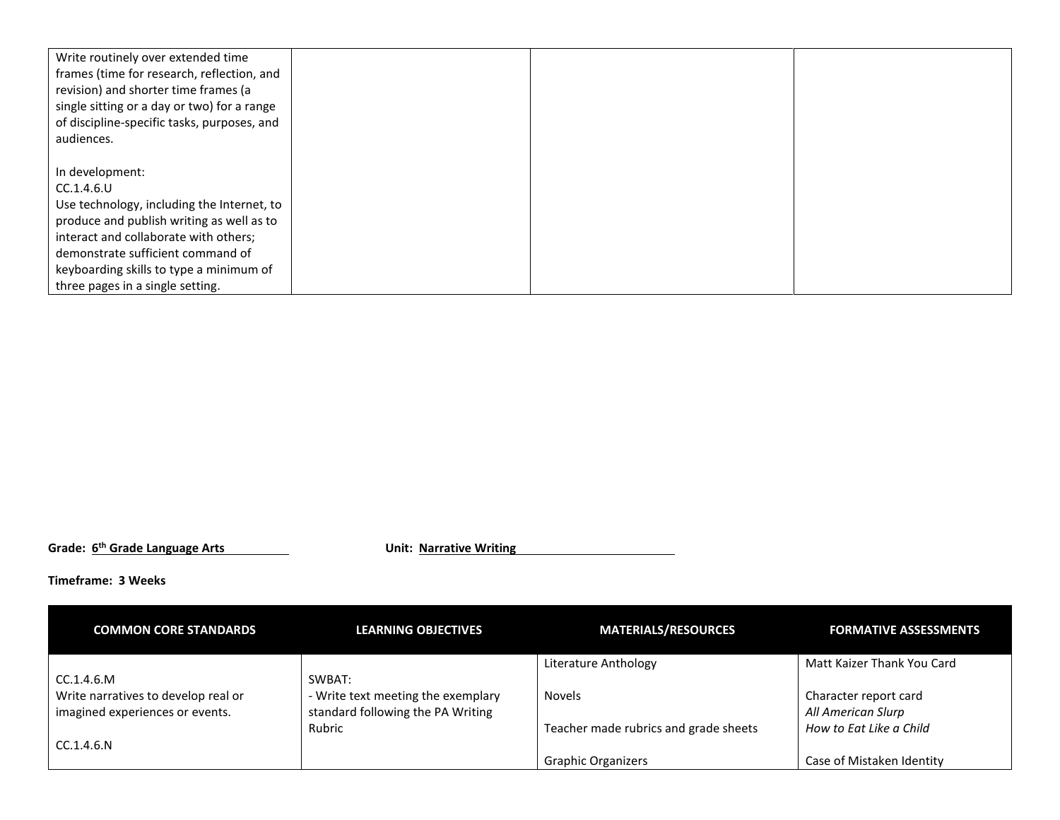| Write routinely over extended time<br>frames (time for research, reflection, and<br>revision) and shorter time frames (a<br>single sitting or a day or two) for a range<br>of discipline-specific tasks, purposes, and<br>audiences. |  |  |
|--------------------------------------------------------------------------------------------------------------------------------------------------------------------------------------------------------------------------------------|--|--|
|                                                                                                                                                                                                                                      |  |  |
| In development:                                                                                                                                                                                                                      |  |  |
| CC.1.4.6.U                                                                                                                                                                                                                           |  |  |
| Use technology, including the Internet, to                                                                                                                                                                                           |  |  |
| produce and publish writing as well as to                                                                                                                                                                                            |  |  |
| interact and collaborate with others;                                                                                                                                                                                                |  |  |
| demonstrate sufficient command of                                                                                                                                                                                                    |  |  |
| keyboarding skills to type a minimum of                                                                                                                                                                                              |  |  |
| three pages in a single setting.                                                                                                                                                                                                     |  |  |

**Grade: 6th Grade Language Arts Unit: Narrative Writing**

## **Timeframe: 3 Weeks**

| <b>COMMON CORE STANDARDS</b>        | <b>LEARNING OBJECTIVES</b>         | <b>MATERIALS/RESOURCES</b>            | <b>FORMATIVE ASSESSMENTS</b> |
|-------------------------------------|------------------------------------|---------------------------------------|------------------------------|
|                                     |                                    | Literature Anthology                  | Matt Kaizer Thank You Card   |
| CC.1.4.6.M                          | SWBAT:                             |                                       |                              |
| Write narratives to develop real or | - Write text meeting the exemplary | <b>Novels</b>                         | Character report card        |
| imagined experiences or events.     | standard following the PA Writing  |                                       | All American Slurp           |
|                                     | Rubric                             | Teacher made rubrics and grade sheets | How to Eat Like a Child      |
| CC.1.4.6.N                          |                                    |                                       |                              |
|                                     |                                    | <b>Graphic Organizers</b>             | Case of Mistaken Identity    |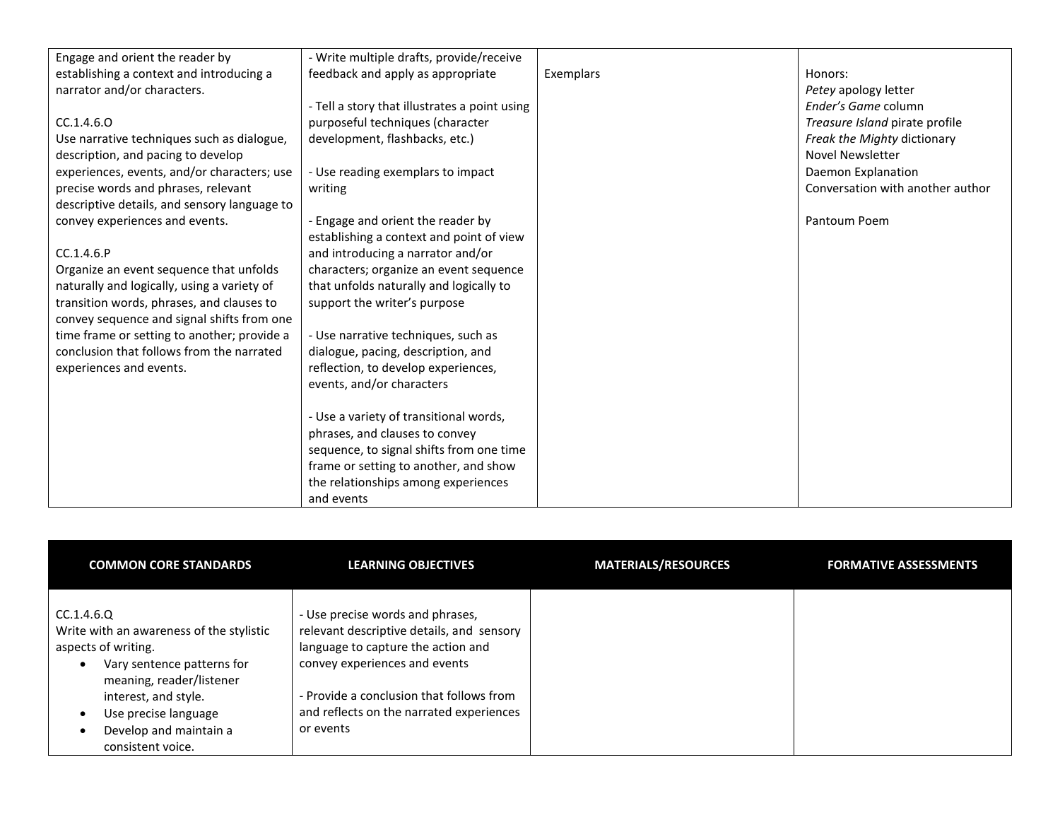| Engage and orient the reader by              | - Write multiple drafts, provide/receive      |           |                                  |
|----------------------------------------------|-----------------------------------------------|-----------|----------------------------------|
| establishing a context and introducing a     | feedback and apply as appropriate             | Exemplars | Honors:                          |
| narrator and/or characters.                  |                                               |           | Petey apology letter             |
|                                              | - Tell a story that illustrates a point using |           | Ender's Game column              |
| CC.1.4.6.0                                   | purposeful techniques (character              |           | Treasure Island pirate profile   |
| Use narrative techniques such as dialogue,   | development, flashbacks, etc.)                |           | Freak the Mighty dictionary      |
| description, and pacing to develop           |                                               |           | <b>Novel Newsletter</b>          |
| experiences, events, and/or characters; use  | - Use reading exemplars to impact             |           | Daemon Explanation               |
| precise words and phrases, relevant          | writing                                       |           | Conversation with another author |
| descriptive details, and sensory language to |                                               |           |                                  |
| convey experiences and events.               | - Engage and orient the reader by             |           | Pantoum Poem                     |
|                                              | establishing a context and point of view      |           |                                  |
| CC.1.4.6.P                                   | and introducing a narrator and/or             |           |                                  |
| Organize an event sequence that unfolds      | characters; organize an event sequence        |           |                                  |
| naturally and logically, using a variety of  | that unfolds naturally and logically to       |           |                                  |
| transition words, phrases, and clauses to    | support the writer's purpose                  |           |                                  |
| convey sequence and signal shifts from one   |                                               |           |                                  |
| time frame or setting to another; provide a  | - Use narrative techniques, such as           |           |                                  |
| conclusion that follows from the narrated    | dialogue, pacing, description, and            |           |                                  |
| experiences and events.                      | reflection, to develop experiences,           |           |                                  |
|                                              | events, and/or characters                     |           |                                  |
|                                              |                                               |           |                                  |
|                                              | - Use a variety of transitional words,        |           |                                  |
|                                              | phrases, and clauses to convey                |           |                                  |
|                                              | sequence, to signal shifts from one time      |           |                                  |
|                                              | frame or setting to another, and show         |           |                                  |
|                                              | the relationships among experiences           |           |                                  |
|                                              | and events                                    |           |                                  |

| <b>COMMON CORE STANDARDS</b>                                                                                                                                                                                                           | <b>LEARNING OBJECTIVES</b>                                                                                                                                                                                                                                | <b>MATERIALS/RESOURCES</b> | <b>FORMATIVE ASSESSMENTS</b> |
|----------------------------------------------------------------------------------------------------------------------------------------------------------------------------------------------------------------------------------------|-----------------------------------------------------------------------------------------------------------------------------------------------------------------------------------------------------------------------------------------------------------|----------------------------|------------------------------|
| CC.1.4.6.Q<br>Write with an awareness of the stylistic<br>aspects of writing.<br>Vary sentence patterns for<br>meaning, reader/listener<br>interest, and style.<br>Use precise language<br>Develop and maintain a<br>consistent voice. | - Use precise words and phrases,<br>relevant descriptive details, and sensory<br>language to capture the action and<br>convey experiences and events<br>- Provide a conclusion that follows from<br>and reflects on the narrated experiences<br>or events |                            |                              |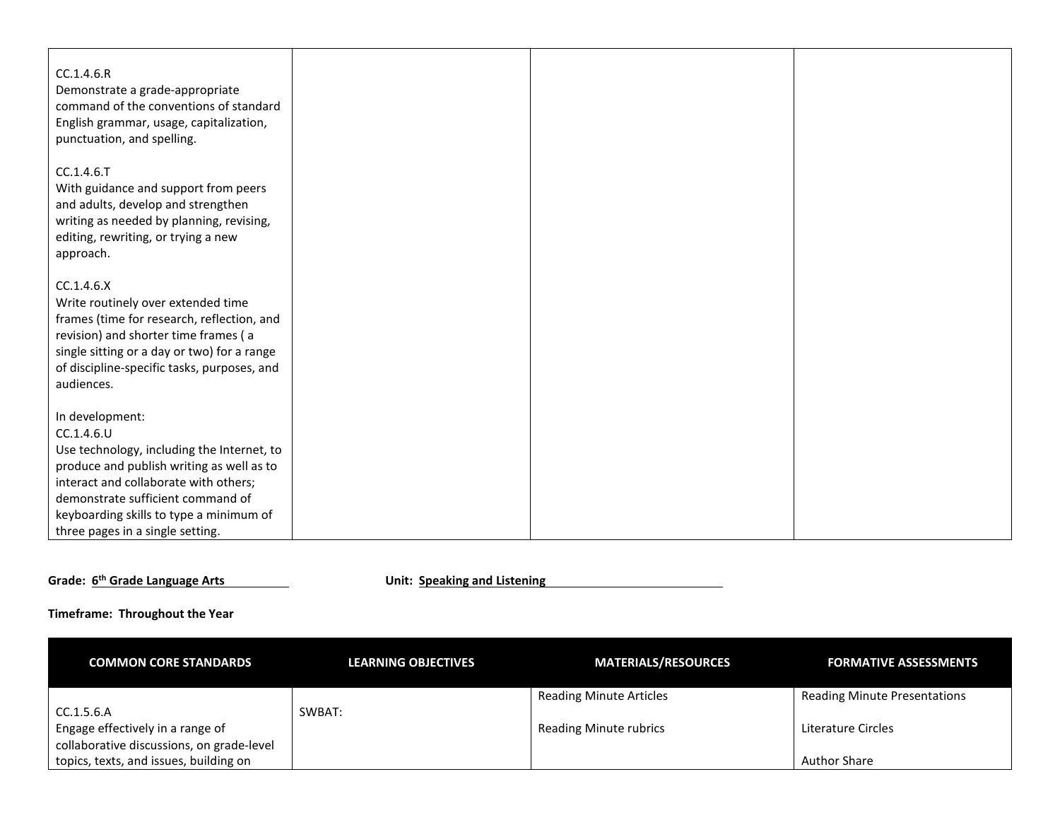| CC.1.4.6.R<br>Demonstrate a grade-appropriate<br>command of the conventions of standard<br>English grammar, usage, capitalization,<br>punctuation, and spelling.                                                                                                                      |  |  |
|---------------------------------------------------------------------------------------------------------------------------------------------------------------------------------------------------------------------------------------------------------------------------------------|--|--|
| CC.1.4.6.T<br>With guidance and support from peers<br>and adults, develop and strengthen<br>writing as needed by planning, revising,<br>editing, rewriting, or trying a new<br>approach.                                                                                              |  |  |
| CC.1.4.6.X<br>Write routinely over extended time<br>frames (time for research, reflection, and<br>revision) and shorter time frames (a<br>single sitting or a day or two) for a range<br>of discipline-specific tasks, purposes, and<br>audiences.                                    |  |  |
| In development:<br>CC.1.4.6.U<br>Use technology, including the Internet, to<br>produce and publish writing as well as to<br>interact and collaborate with others;<br>demonstrate sufficient command of<br>keyboarding skills to type a minimum of<br>three pages in a single setting. |  |  |

## **Grade:**  $6^{th}$  **Grade Language Arts Listening Unit:** Speaking and Listening

| <b>COMMON CORE STANDARDS</b>              | <b>LEARNING OBJECTIVES</b> | <b>MATERIALS/RESOURCES</b>     | <b>FORMATIVE ASSESSMENTS</b>        |
|-------------------------------------------|----------------------------|--------------------------------|-------------------------------------|
|                                           |                            | <b>Reading Minute Articles</b> | <b>Reading Minute Presentations</b> |
| CC.1.5.6.A                                | SWBAT:                     |                                |                                     |
| Engage effectively in a range of          |                            | <b>Reading Minute rubrics</b>  | Literature Circles                  |
| collaborative discussions, on grade-level |                            |                                |                                     |
| topics, texts, and issues, building on    |                            |                                | <b>Author Share</b>                 |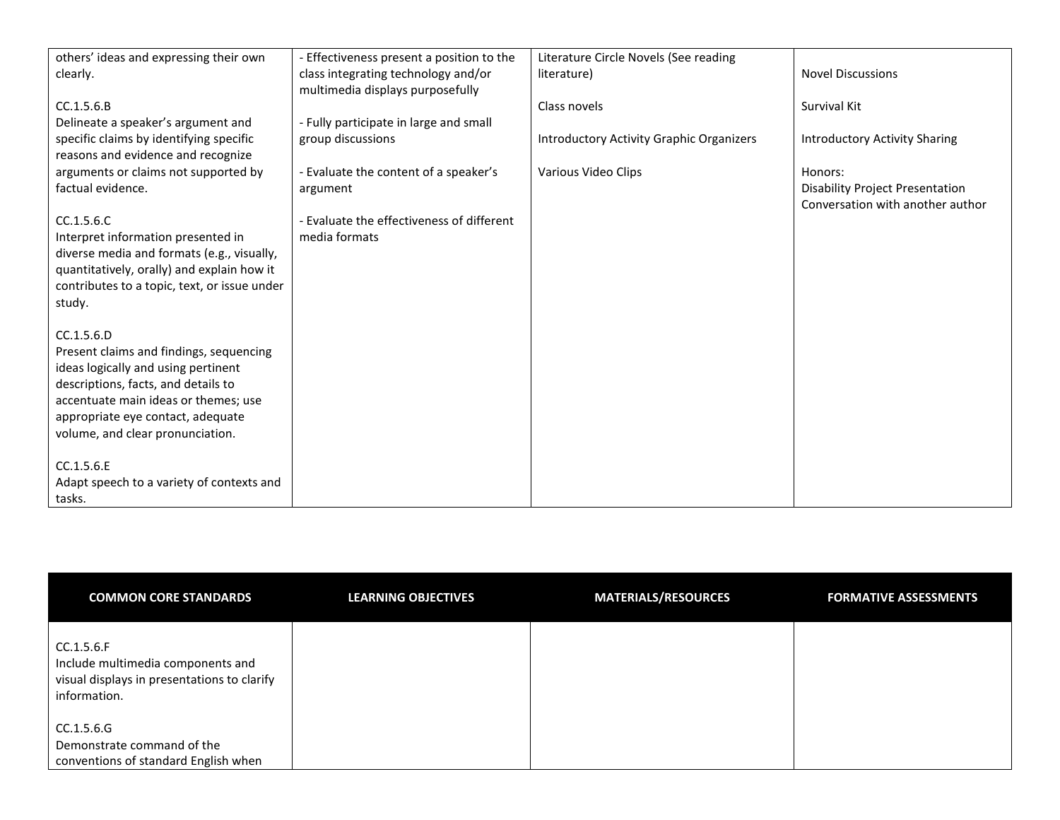| others' ideas and expressing their own                                        | - Effectiveness present a position to the | Literature Circle Novels (See reading    |                                        |
|-------------------------------------------------------------------------------|-------------------------------------------|------------------------------------------|----------------------------------------|
| clearly.                                                                      | class integrating technology and/or       | literature)                              | <b>Novel Discussions</b>               |
|                                                                               | multimedia displays purposefully          |                                          |                                        |
| CC.1.5.6.B                                                                    |                                           | Class novels                             | Survival Kit                           |
| Delineate a speaker's argument and                                            | - Fully participate in large and small    |                                          |                                        |
|                                                                               |                                           |                                          |                                        |
| specific claims by identifying specific<br>reasons and evidence and recognize | group discussions                         | Introductory Activity Graphic Organizers | <b>Introductory Activity Sharing</b>   |
| arguments or claims not supported by                                          | - Evaluate the content of a speaker's     | Various Video Clips                      | Honors:                                |
| factual evidence.                                                             | argument                                  |                                          | <b>Disability Project Presentation</b> |
|                                                                               |                                           |                                          | Conversation with another author       |
| CC.1.5.6.C                                                                    | - Evaluate the effectiveness of different |                                          |                                        |
| Interpret information presented in                                            | media formats                             |                                          |                                        |
| diverse media and formats (e.g., visually,                                    |                                           |                                          |                                        |
| quantitatively, orally) and explain how it                                    |                                           |                                          |                                        |
| contributes to a topic, text, or issue under                                  |                                           |                                          |                                        |
| study.                                                                        |                                           |                                          |                                        |
|                                                                               |                                           |                                          |                                        |
| CC.1.5.6.D                                                                    |                                           |                                          |                                        |
| Present claims and findings, sequencing                                       |                                           |                                          |                                        |
| ideas logically and using pertinent                                           |                                           |                                          |                                        |
| descriptions, facts, and details to                                           |                                           |                                          |                                        |
| accentuate main ideas or themes; use                                          |                                           |                                          |                                        |
|                                                                               |                                           |                                          |                                        |
| appropriate eye contact, adequate                                             |                                           |                                          |                                        |
| volume, and clear pronunciation.                                              |                                           |                                          |                                        |
| CC.1.5.6.E                                                                    |                                           |                                          |                                        |
|                                                                               |                                           |                                          |                                        |
| Adapt speech to a variety of contexts and                                     |                                           |                                          |                                        |
| tasks.                                                                        |                                           |                                          |                                        |

| <b>COMMON CORE STANDARDS</b>                                                                                   | <b>LEARNING OBJECTIVES</b> | <b>MATERIALS/RESOURCES</b> | <b>FORMATIVE ASSESSMENTS</b> |
|----------------------------------------------------------------------------------------------------------------|----------------------------|----------------------------|------------------------------|
| CC.1.5.6.F<br>Include multimedia components and<br>visual displays in presentations to clarify<br>information. |                            |                            |                              |
| CC.1.5.6.G<br>Demonstrate command of the<br>conventions of standard English when                               |                            |                            |                              |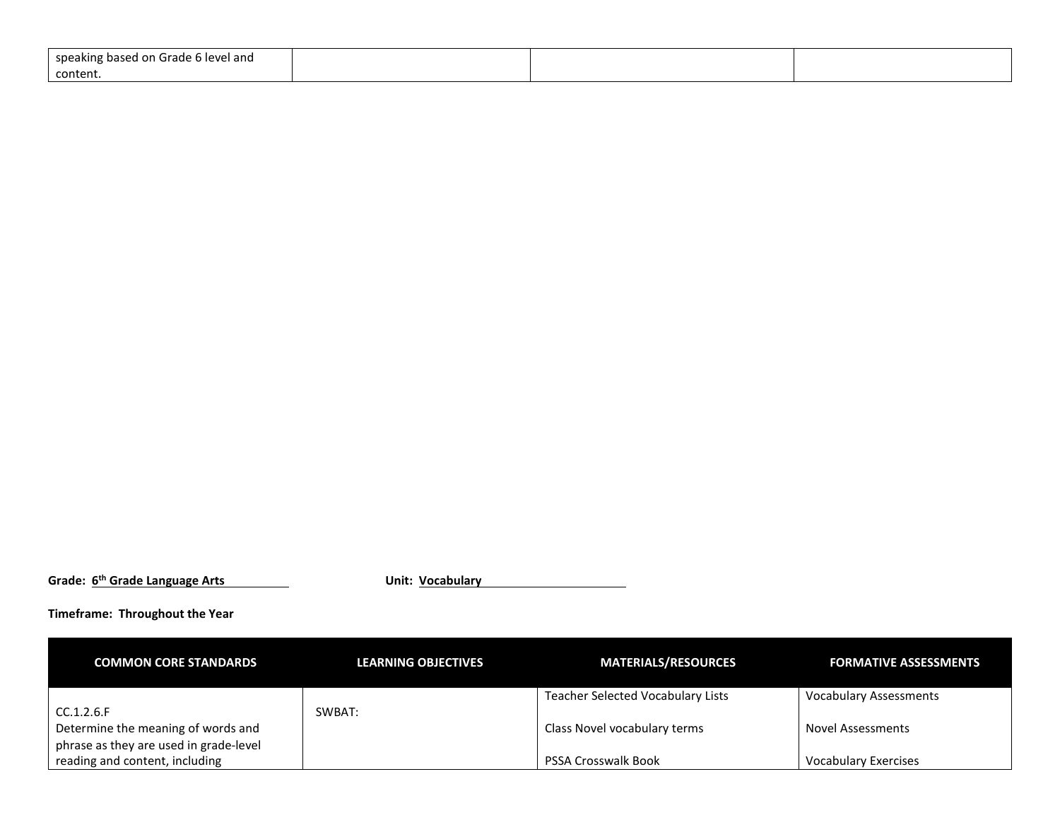| speaking based on Grade 6 level and |  |  |
|-------------------------------------|--|--|
| content.                            |  |  |

**Grade: 6th Grade Language Arts Unit: Vocabulary**

**Timeframe: Throughout the Year**

| <b>COMMON CORE STANDARDS</b>           | LEARNING OBJECTIVES | <b>MATERIALS/RESOURCES</b>               | <b>FORMATIVE ASSESSMENTS</b>  |
|----------------------------------------|---------------------|------------------------------------------|-------------------------------|
|                                        |                     | <b>Teacher Selected Vocabulary Lists</b> | <b>Vocabulary Assessments</b> |
| CC.1.2.6.F                             | SWBAT:              |                                          |                               |
| Determine the meaning of words and     |                     | Class Novel vocabulary terms             | <b>Novel Assessments</b>      |
| phrase as they are used in grade-level |                     |                                          |                               |
| reading and content, including         |                     | <b>PSSA Crosswalk Book</b>               | <b>Vocabulary Exercises</b>   |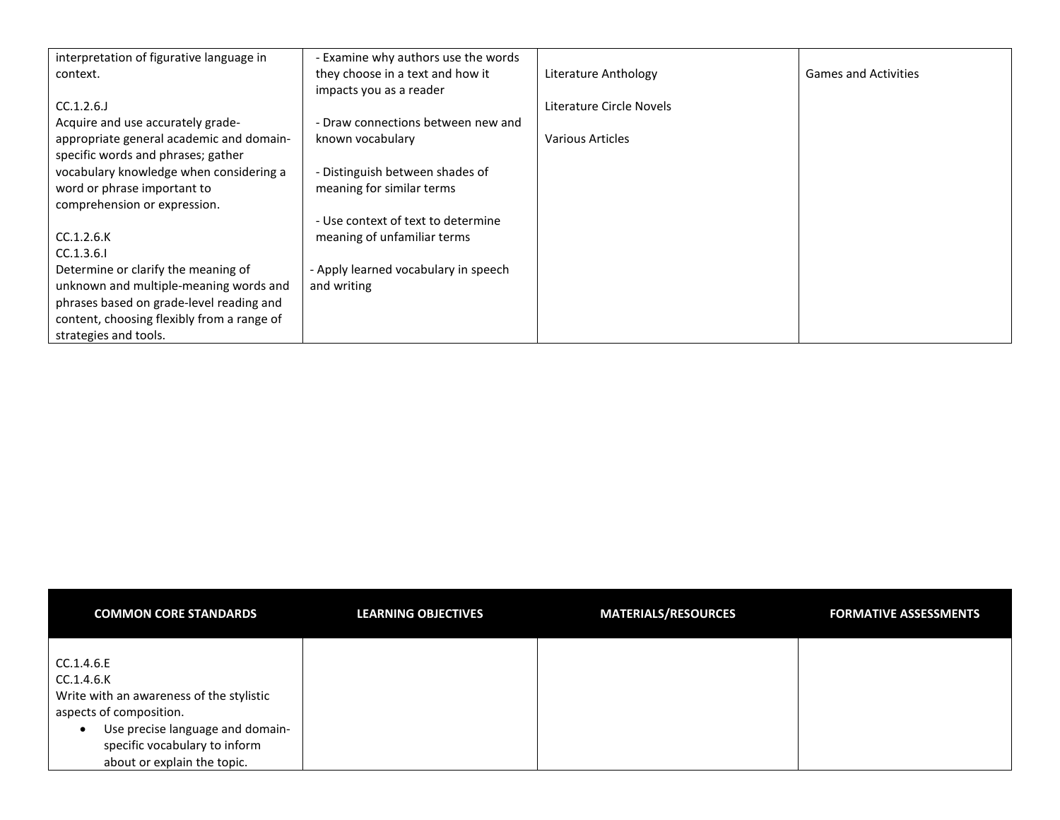| interpretation of figurative language in   | - Examine why authors use the words  |                          |                             |
|--------------------------------------------|--------------------------------------|--------------------------|-----------------------------|
| context.                                   | they choose in a text and how it     | Literature Anthology     | <b>Games and Activities</b> |
|                                            | impacts you as a reader              |                          |                             |
| $CC.1.2.6$ .                               |                                      | Literature Circle Novels |                             |
| Acquire and use accurately grade-          | - Draw connections between new and   |                          |                             |
| appropriate general academic and domain-   | known vocabulary                     | Various Articles         |                             |
| specific words and phrases; gather         |                                      |                          |                             |
| vocabulary knowledge when considering a    | - Distinguish between shades of      |                          |                             |
| word or phrase important to                | meaning for similar terms            |                          |                             |
| comprehension or expression.               |                                      |                          |                             |
|                                            | - Use context of text to determine   |                          |                             |
| CC.1.2.6.K                                 | meaning of unfamiliar terms          |                          |                             |
| CC.1.3.6.1                                 |                                      |                          |                             |
| Determine or clarify the meaning of        | - Apply learned vocabulary in speech |                          |                             |
| unknown and multiple-meaning words and     | and writing                          |                          |                             |
| phrases based on grade-level reading and   |                                      |                          |                             |
| content, choosing flexibly from a range of |                                      |                          |                             |
| strategies and tools.                      |                                      |                          |                             |

| <b>COMMON CORE STANDARDS</b>                                                                                                                                                                                     | <b>LEARNING OBJECTIVES</b> | <b>MATERIALS/RESOURCES</b> | <b>FORMATIVE ASSESSMENTS</b> |
|------------------------------------------------------------------------------------------------------------------------------------------------------------------------------------------------------------------|----------------------------|----------------------------|------------------------------|
| CC.1.4.6.E<br>CC.1.4.6.K<br>Write with an awareness of the stylistic<br>aspects of composition.<br>Use precise language and domain-<br>$\bullet$<br>specific vocabulary to inform<br>about or explain the topic. |                            |                            |                              |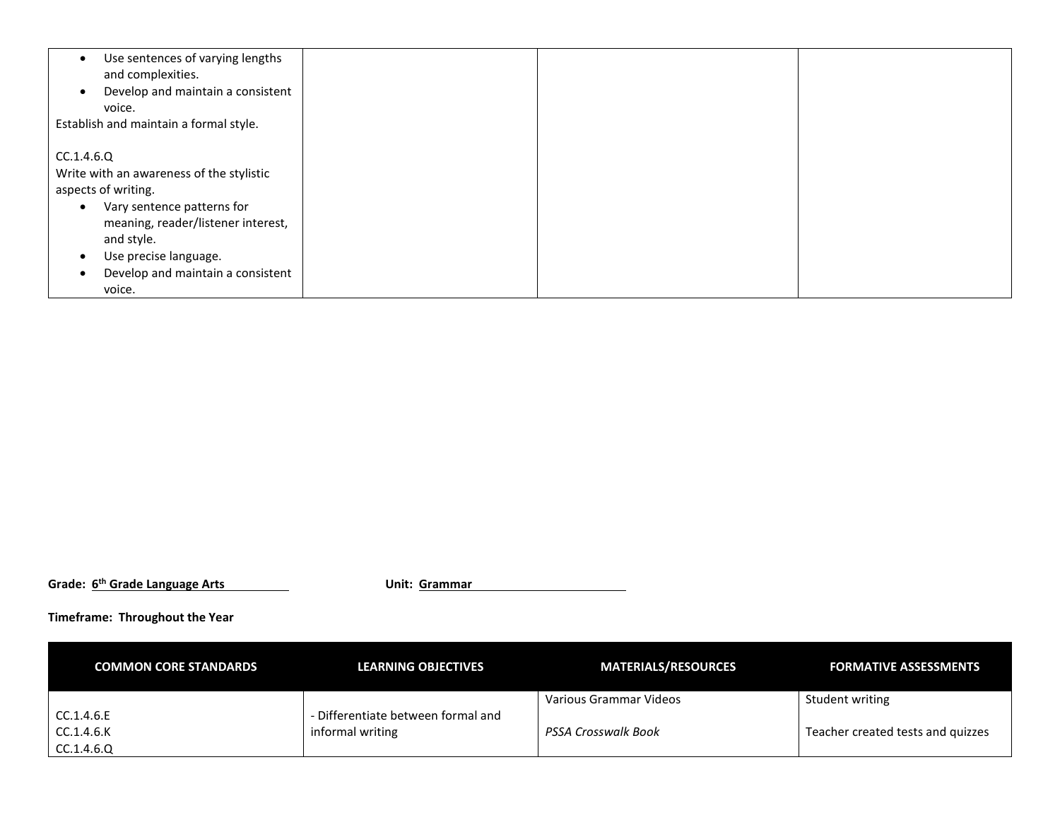| Use sentences of varying lengths<br>$\bullet$<br>and complexities.<br>Develop and maintain a consistent<br>$\bullet$ |  |  |
|----------------------------------------------------------------------------------------------------------------------|--|--|
| voice.                                                                                                               |  |  |
| Establish and maintain a formal style.                                                                               |  |  |
|                                                                                                                      |  |  |
| CC.1.4.6.Q                                                                                                           |  |  |
| Write with an awareness of the stylistic                                                                             |  |  |
|                                                                                                                      |  |  |
| aspects of writing.                                                                                                  |  |  |
| Vary sentence patterns for<br>$\bullet$                                                                              |  |  |
| meaning, reader/listener interest,                                                                                   |  |  |
|                                                                                                                      |  |  |
| and style.                                                                                                           |  |  |
| Use precise language.                                                                                                |  |  |
| Develop and maintain a consistent                                                                                    |  |  |
| voice.                                                                                                               |  |  |

**Grade: 6th Grade Language Arts Unit: Grammar**

| <b>COMMON CORE STANDARDS</b> | <b>LEARNING OBJECTIVES</b>         | <b>MATERIALS/RESOURCES</b> | <b>FORMATIVE ASSESSMENTS</b>      |
|------------------------------|------------------------------------|----------------------------|-----------------------------------|
|                              | - Differentiate between formal and | Various Grammar Videos     | Student writing                   |
| CC.1.4.6.E<br>CC.1.4.6.K     | informal writing                   | PSSA Crosswalk Book        | Teacher created tests and quizzes |
| CC.1.4.6.Q                   |                                    |                            |                                   |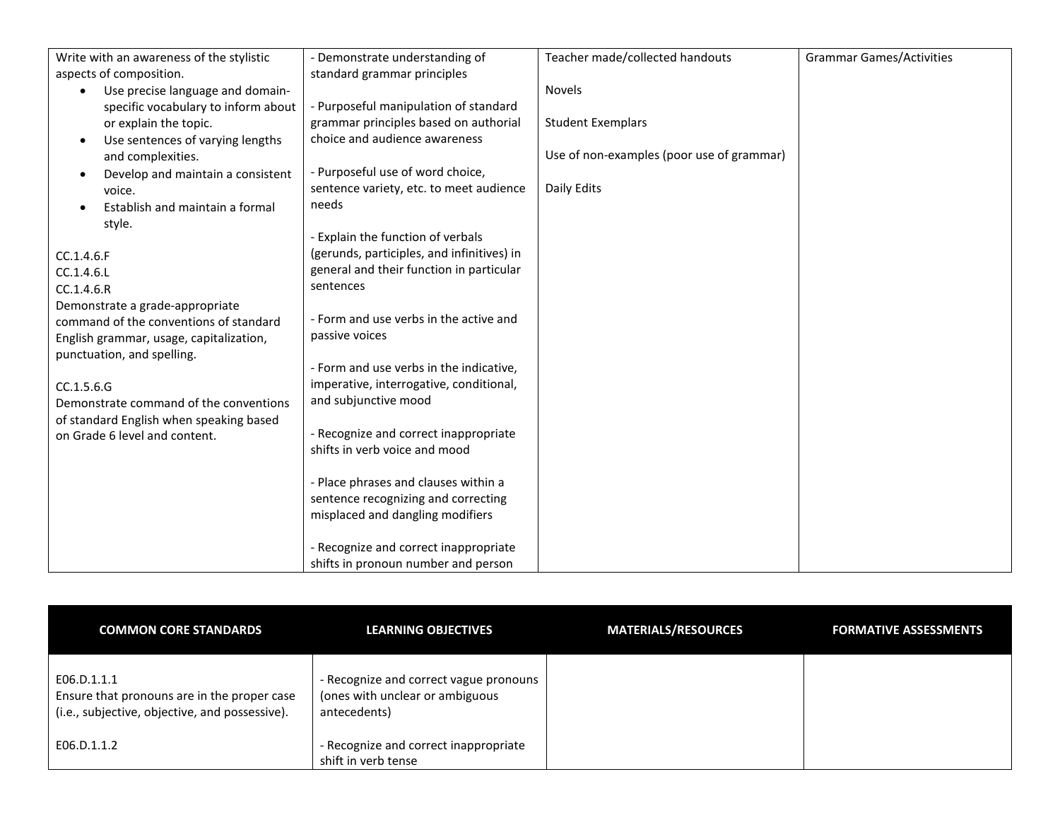| Write with an awareness of the stylistic      | - Demonstrate understanding of             | Teacher made/collected handouts           | <b>Grammar Games/Activities</b> |
|-----------------------------------------------|--------------------------------------------|-------------------------------------------|---------------------------------|
| aspects of composition.                       | standard grammar principles                |                                           |                                 |
| Use precise language and domain-              |                                            | <b>Novels</b>                             |                                 |
| specific vocabulary to inform about           | Purposeful manipulation of standard        |                                           |                                 |
| or explain the topic.                         | grammar principles based on authorial      | <b>Student Exemplars</b>                  |                                 |
| Use sentences of varying lengths<br>$\bullet$ | choice and audience awareness              |                                           |                                 |
| and complexities.                             |                                            | Use of non-examples (poor use of grammar) |                                 |
| Develop and maintain a consistent<br>O        | - Purposeful use of word choice,           |                                           |                                 |
| voice.                                        | sentence variety, etc. to meet audience    | Daily Edits                               |                                 |
| Establish and maintain a formal               | needs                                      |                                           |                                 |
| style.                                        |                                            |                                           |                                 |
|                                               | Explain the function of verbals            |                                           |                                 |
| CC.1.4.6.F                                    | (gerunds, participles, and infinitives) in |                                           |                                 |
| CC.1.4.6.L                                    | general and their function in particular   |                                           |                                 |
| CC.1.4.6.R                                    | sentences                                  |                                           |                                 |
| Demonstrate a grade-appropriate               |                                            |                                           |                                 |
| command of the conventions of standard        | - Form and use verbs in the active and     |                                           |                                 |
| English grammar, usage, capitalization,       | passive voices                             |                                           |                                 |
| punctuation, and spelling.                    |                                            |                                           |                                 |
|                                               | - Form and use verbs in the indicative,    |                                           |                                 |
| CC.1.5.6.G                                    | imperative, interrogative, conditional,    |                                           |                                 |
| Demonstrate command of the conventions        | and subjunctive mood                       |                                           |                                 |
| of standard English when speaking based       |                                            |                                           |                                 |
| on Grade 6 level and content.                 | - Recognize and correct inappropriate      |                                           |                                 |
|                                               | shifts in verb voice and mood              |                                           |                                 |
|                                               |                                            |                                           |                                 |
|                                               | Place phrases and clauses within a         |                                           |                                 |
|                                               | sentence recognizing and correcting        |                                           |                                 |
|                                               | misplaced and dangling modifiers           |                                           |                                 |
|                                               |                                            |                                           |                                 |
|                                               | - Recognize and correct inappropriate      |                                           |                                 |
|                                               | shifts in pronoun number and person        |                                           |                                 |

| <b>COMMON CORE STANDARDS</b>                                                                                 | <b>LEARNING OBJECTIVES</b>                                                                | <b>MATERIALS/RESOURCES</b> | <b>FORMATIVE ASSESSMENTS</b> |
|--------------------------------------------------------------------------------------------------------------|-------------------------------------------------------------------------------------------|----------------------------|------------------------------|
| E06.D.1.1.1<br>Ensure that pronouns are in the proper case<br>(i.e., subjective, objective, and possessive). | - Recognize and correct vague pronouns<br>(ones with unclear or ambiguous<br>antecedents) |                            |                              |
| E06.D.1.1.2                                                                                                  | - Recognize and correct inappropriate<br>shift in verb tense                              |                            |                              |